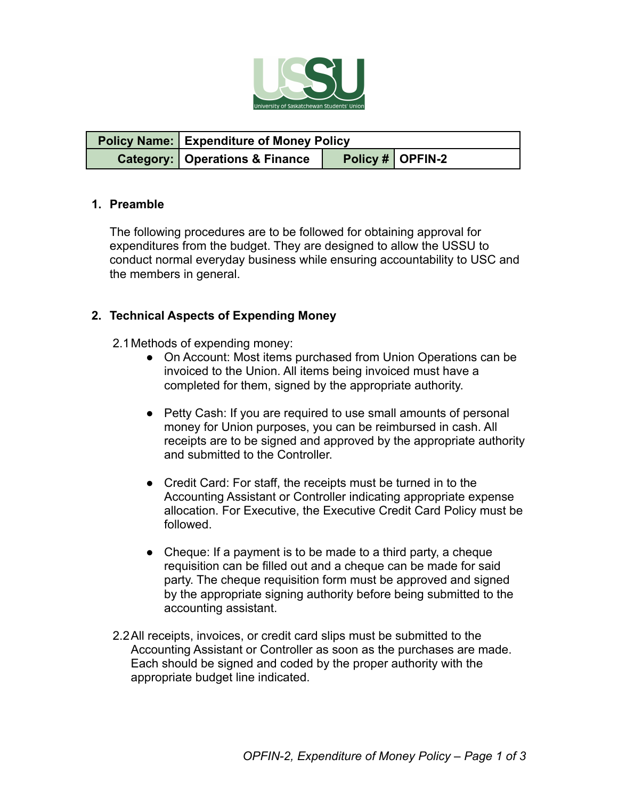

| <b>Policy Name: Expenditure of Money Policy</b> |  |                    |
|-------------------------------------------------|--|--------------------|
| <b>Category:   Operations &amp; Finance</b>     |  | Policy #   OPFIN-2 |

#### **1. Preamble**

The following procedures are to be followed for obtaining approval for expenditures from the budget. They are designed to allow the USSU to conduct normal everyday business while ensuring accountability to USC and the members in general.

#### **2. Technical Aspects of Expending Money**

- 2.1Methods of expending money:
	- On Account: Most items purchased from Union Operations can be invoiced to the Union. All items being invoiced must have a completed for them, signed by the appropriate authority.
	- Petty Cash: If you are required to use small amounts of personal money for Union purposes, you can be reimbursed in cash. All receipts are to be signed and approved by the appropriate authority and submitted to the Controller.
	- Credit Card: For staff, the receipts must be turned in to the Accounting Assistant or Controller indicating appropriate expense allocation. For Executive, the Executive Credit Card Policy must be followed.
	- Cheque: If a payment is to be made to a third party, a cheque requisition can be filled out and a cheque can be made for said party. The cheque requisition form must be approved and signed by the appropriate signing authority before being submitted to the accounting assistant.
- 2.2All receipts, invoices, or credit card slips must be submitted to the Accounting Assistant or Controller as soon as the purchases are made. Each should be signed and coded by the proper authority with the appropriate budget line indicated.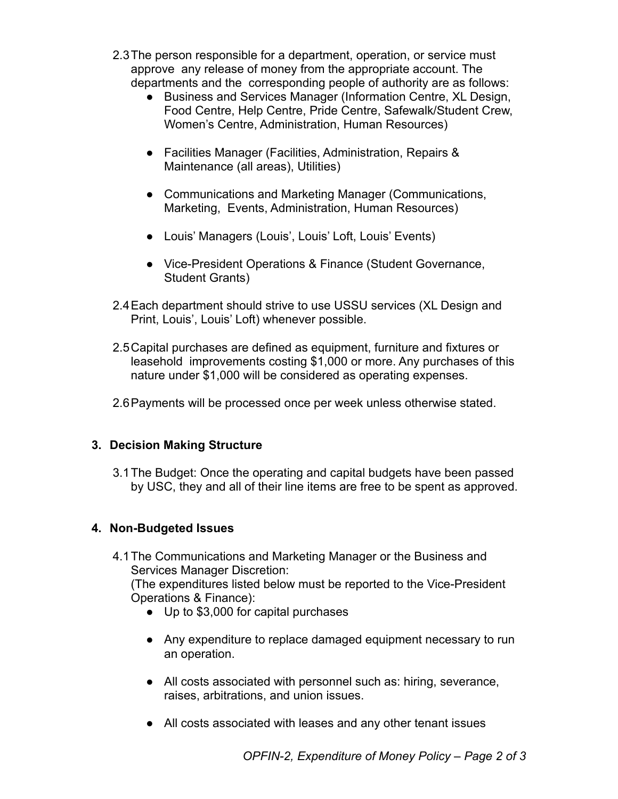- 2.3The person responsible for a department, operation, or service must approve any release of money from the appropriate account. The departments and the corresponding people of authority are as follows:
	- Business and Services Manager (Information Centre, XL Design, Food Centre, Help Centre, Pride Centre, Safewalk/Student Crew, Women's Centre, Administration, Human Resources)
	- Facilities Manager (Facilities, Administration, Repairs & Maintenance (all areas), Utilities)
	- Communications and Marketing Manager (Communications, Marketing, Events, Administration, Human Resources)
	- Louis' Managers (Louis', Louis' Loft, Louis' Events)
	- Vice-President Operations & Finance (Student Governance, Student Grants)
- 2.4Each department should strive to use USSU services (XL Design and Print, Louis', Louis' Loft) whenever possible.
- 2.5Capital purchases are defined as equipment, furniture and fixtures or leasehold improvements costing \$1,000 or more. Any purchases of this nature under \$1,000 will be considered as operating expenses.
- 2.6Payments will be processed once per week unless otherwise stated.

# **3. Decision Making Structure**

3.1The Budget: Once the operating and capital budgets have been passed by USC, they and all of their line items are free to be spent as approved.

# **4. Non-Budgeted Issues**

4.1The Communications and Marketing Manager or the Business and Services Manager Discretion: (The expenditures listed below must be reported to the Vice-President

Operations & Finance):

- Up to \$3,000 for capital purchases
- Any expenditure to replace damaged equipment necessary to run an operation.
- All costs associated with personnel such as: hiring, severance, raises, arbitrations, and union issues.
- All costs associated with leases and any other tenant issues